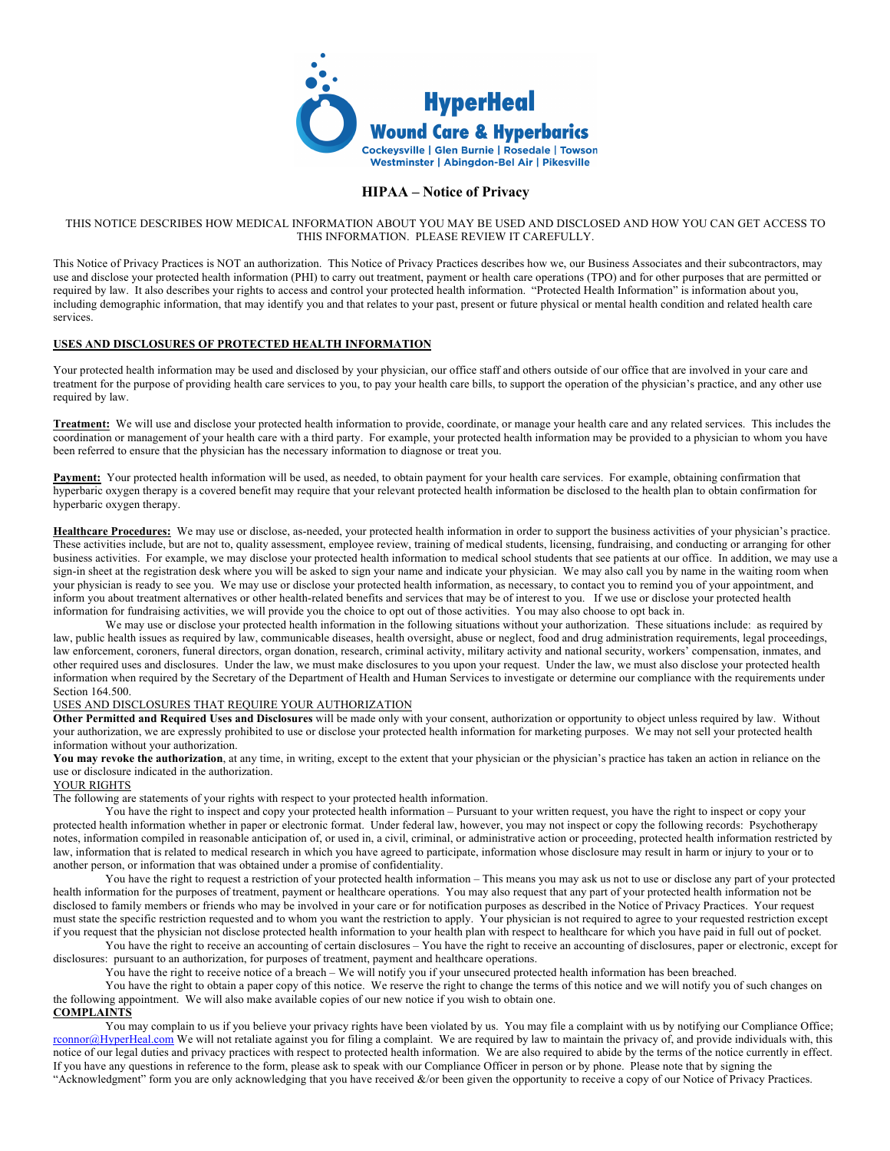

# **HIPAA – Notice of Privacy**

#### THIS NOTICE DESCRIBES HOW MEDICAL INFORMATION ABOUT YOU MAY BE USED AND DISCLOSED AND HOW YOU CAN GET ACCESS TO THIS INFORMATION. PLEASE REVIEW IT CAREFULLY.

This Notice of Privacy Practices is NOT an authorization. This Notice of Privacy Practices describes how we, our Business Associates and their subcontractors, may use and disclose your protected health information (PHI) to carry out treatment, payment or health care operations (TPO) and for other purposes that are permitted or required by law. It also describes your rights to access and control your protected health information. "Protected Health Information" is information about you, including demographic information, that may identify you and that relates to your past, present or future physical or mental health condition and related health care services.

### **USES AND DISCLOSURES OF PROTECTED HEALTH INFORMATION**

Your protected health information may be used and disclosed by your physician, our office staff and others outside of our office that are involved in your care and treatment for the purpose of providing health care services to you, to pay your health care bills, to support the operation of the physician's practice, and any other use required by law.

**Treatment:** We will use and disclose your protected health information to provide, coordinate, or manage your health care and any related services. This includes the coordination or management of your health care with a third party. For example, your protected health information may be provided to a physician to whom you have been referred to ensure that the physician has the necessary information to diagnose or treat you.

**Payment:** Your protected health information will be used, as needed, to obtain payment for your health care services. For example, obtaining confirmation that hyperbaric oxygen therapy is a covered benefit may require that your relevant protected health information be disclosed to the health plan to obtain confirmation for hyperbaric oxygen therapy.

**Healthcare Procedures:** We may use or disclose, as-needed, your protected health information in order to support the business activities of your physician's practice. These activities include, but are not to, quality assessment, employee review, training of medical students, licensing, fundraising, and conducting or arranging for other business activities. For example, we may disclose your protected health information to medical school students that see patients at our office. In addition, we may use a sign-in sheet at the registration desk where you will be asked to sign your name and indicate your physician. We may also call you by name in the waiting room when your physician is ready to see you. We may use or disclose your protected health information, as necessary, to contact you to remind you of your appointment, and inform you about treatment alternatives or other health-related benefits and services that may be of interest to you. If we use or disclose your protected health information for fundraising activities, we will provide you the choice to opt out of those activities. You may also choose to opt back in.

We may use or disclose your protected health information in the following situations without your authorization. These situations include: as required by law, public health issues as required by law, communicable diseases, health oversight, abuse or neglect, food and drug administration requirements, legal proceedings, law enforcement, coroners, funeral directors, organ donation, research, criminal activity, military activity and national security, workers' compensation, inmates, and other required uses and disclosures. Under the law, we must make disclosures to you upon your request. Under the law, we must also disclose your protected health information when required by the Secretary of the Department of Health and Human Services to investigate or determine our compliance with the requirements under Section 164.500.

#### USES AND DISCLOSURES THAT REQUIRE YOUR AUTHORIZATION

**Other Permitted and Required Uses and Disclosures** will be made only with your consent, authorization or opportunity to object unless required by law. Without your authorization, we are expressly prohibited to use or disclose your protected health information for marketing purposes. We may not sell your protected health information without your authorization.

You may revoke the authorization, at any time, in writing, except to the extent that your physician or the physician's practice has taken an action in reliance on the use or disclosure indicated in the authorization.

## YOUR RIGHTS

The following are statements of your rights with respect to your protected health information.

You have the right to inspect and copy your protected health information – Pursuant to your written request, you have the right to inspect or copy your protected health information whether in paper or electronic format. Under federal law, however, you may not inspect or copy the following records: Psychotherapy notes, information compiled in reasonable anticipation of, or used in, a civil, criminal, or administrative action or proceeding, protected health information restricted by law, information that is related to medical research in which you have agreed to participate, information whose disclosure may result in harm or injury to your or to another person, or information that was obtained under a promise of confidentiality.

You have the right to request a restriction of your protected health information – This means you may ask us not to use or disclose any part of your protected health information for the purposes of treatment, payment or healthcare operations. You may also request that any part of your protected health information not be disclosed to family members or friends who may be involved in your care or for notification purposes as described in the Notice of Privacy Practices. Your request must state the specific restriction requested and to whom you want the restriction to apply. Your physician is not required to agree to your requested restriction except if you request that the physician not disclose protected health information to your health plan with respect to healthcare for which you have paid in full out of pocket.

You have the right to receive an accounting of certain disclosures – You have the right to receive an accounting of disclosures, paper or electronic, except for disclosures: pursuant to an authorization, for purposes of treatment, payment and healthcare operations.

You have the right to receive notice of a breach – We will notify you if your unsecured protected health information has been breached.

You have the right to obtain a paper copy of this notice. We reserve the right to change the terms of this notice and we will notify you of such changes on the following appointment. We will also make available copies of our new notice if you wish to obtain one.

## **COMPLAINTS**

You may complain to us if you believe your privacy rights have been violated by us. You may file a complaint with us by notifying our Compliance Office; rconnor@HyperHeal.com We will not retaliate against you for filing a complaint. We are required by law to maintain the privacy of, and provide individuals with, this notice of our legal duties and privacy practices with respect to protected health information. We are also required to abide by the terms of the notice currently in effect. If you have any questions in reference to the form, please ask to speak with our Compliance Officer in person or by phone. Please note that by signing the "Acknowledgment" form you are only acknowledging that you have received &/or been given the opportunity to receive a copy of our Notice of Privacy Practices.